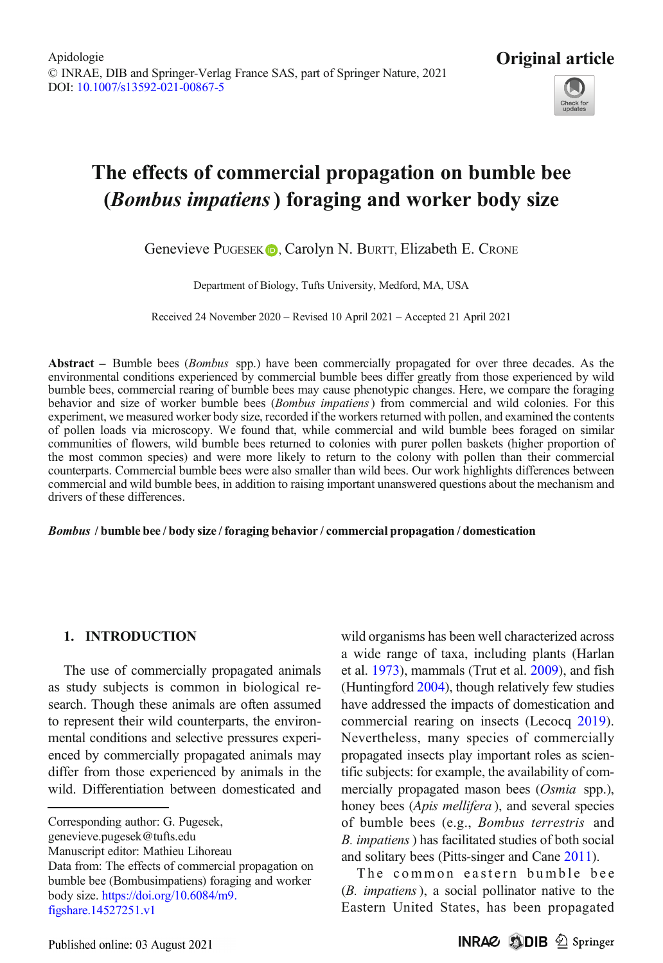

# The effects of commercial propagation on bumble bee (Bombus impatiens) foraging and worker body size

Genevieve PUGESEK **D**, Carolyn N. BURTT, Elizabeth E. CRONE

Department of Biology, Tufts University, Medford, MA, USA

Received 24 November 2020 – Revised 10 April 2021 – Accepted 21 April 2021

Abstract – Bumble bees (*Bombus* spp.) have been commercially propagated for over three decades. As the environmental conditions experienced by commercial bumble bees differ greatly from those experienced by wild bumble bees, commercial rearing of bumble bees may cause phenotypic changes. Here, we compare the foraging behavior and size of worker bumble bees (*Bombus impatiens*) from commercial and wild colonies. For this experiment, we measured worker body size, recorded if the workers returned with pollen, and examined the contents of pollen loads via microscopy. We found that, while commercial and wild bumble bees foraged on similar communities of flowers, wild bumble bees returned to colonies with purer pollen baskets (higher proportion of the most common species) and were more likely to return to the colony with pollen than their commercial counterparts. Commercial bumble bees were also smaller than wild bees. Our work highlights differences between commercial and wild bumble bees, in addition to raising important unanswered questions about the mechanism and drivers of these differences.

#### Bombus / bumble bee / body size / foraging behavior / commercial propagation / domestication

# 1. INTRODUCTION

The use of commercially propagated animals as study subjects is common in biological research. Though these animals are often assumed to represent their wild counterparts, the environmental conditions and selective pressures experienced by commercially propagated animals may differ from those experienced by animals in the wild. Differentiation between domesticated and

Corresponding author: G. Pugesek,

genevieve.pugesek@tufts.edu

Manuscript editor: Mathieu Lihoreau

Data from: The effects of commercial propagation on bumble bee (Bombusimpatiens) foraging and worker body size. [https://doi.org/10.6084/m9.](http://dx.doi.org/10.1007/s13592-021-00867-5) [figshare.14527251.v1](http://dx.doi.org/10.1007/s13592-021-00867-5)

wild organisms has been well characterized across a wide range of taxa, including plants (Harlan et al. [1973](#page-10-0)), mammals (Trut et al. [2009](#page-11-0)), and fish (Huntingford [2004](#page-10-0)), though relatively few studies have addressed the impacts of domestication and commercial rearing on insects (Lecocq [2019\)](#page-10-0). Nevertheless, many species of commercially propagated insects play important roles as scientific subjects: for example, the availability of commercially propagated mason bees (Osmia spp.), honey bees (*Apis mellifera*), and several species of bumble bees (e.g., Bombus terrestris and B. impatiens) has facilitated studies of both social and solitary bees (Pitts-singer and Cane [2011\)](#page-10-0).

The common eastern bumble bee (B. impatiens), a social pollinator native to the Eastern United States, has been propagated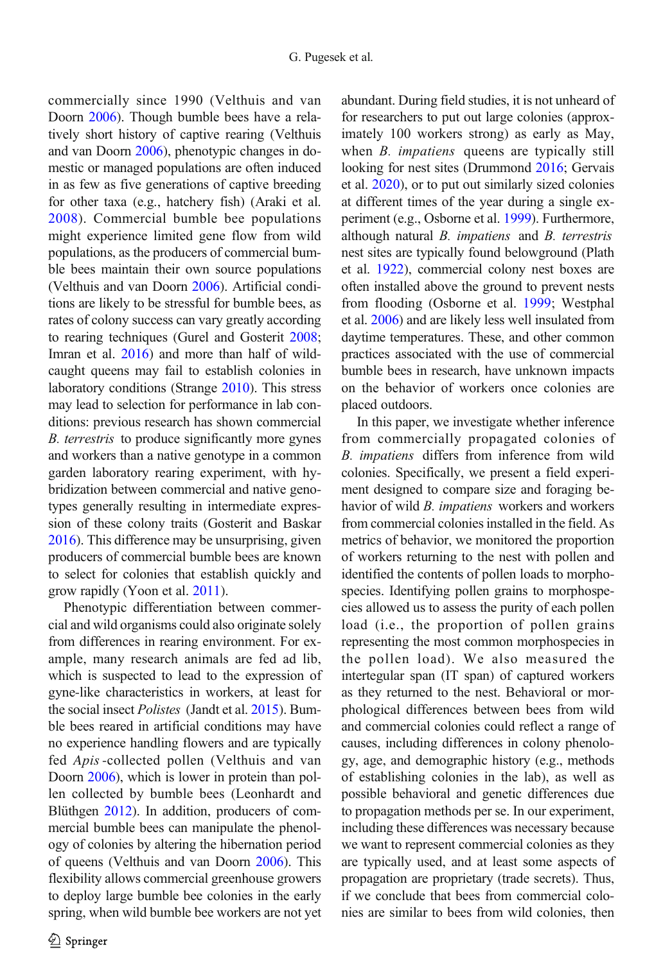commercially since 1990 (Velthuis and van Doorn [2006](#page-11-0)). Though bumble bees have a relatively short history of captive rearing (Velthuis and van Doorn [2006](#page-11-0)), phenotypic changes in domestic or managed populations are often induced in as few as five generations of captive breeding for other taxa (e.g., hatchery fish) (Araki et al. [2008](#page-9-0)). Commercial bumble bee populations might experience limited gene flow from wild populations, as the producers of commercial bumble bees maintain their own source populations (Velthuis and van Doorn [2006](#page-11-0)). Artificial conditions are likely to be stressful for bumble bees, as rates of colony success can vary greatly according to rearing techniques (Gurel and Gosterit [2008](#page-10-0); Imran et al. [2016](#page-10-0)) and more than half of wildcaught queens may fail to establish colonies in laboratory conditions (Strange [2010](#page-11-0)). This stress may lead to selection for performance in lab conditions: previous research has shown commercial B. terrestris to produce significantly more gynes and workers than a native genotype in a common garden laboratory rearing experiment, with hybridization between commercial and native genotypes generally resulting in intermediate expression of these colony traits (Gosterit and Baskar [2016\)](#page-9-0). This difference may be unsurprising, given producers of commercial bumble bees are known to select for colonies that establish quickly and grow rapidly (Yoon et al. [2011\)](#page-11-0).

Phenotypic differentiation between commercial and wild organisms could also originate solely from differences in rearing environment. For example, many research animals are fed ad lib, which is suspected to lead to the expression of gyne-like characteristics in workers, at least for the social insect *Polistes* (Jandt et al. [2015\)](#page-10-0). Bumble bees reared in artificial conditions may have no experience handling flowers and are typically fed Apis-collected pollen (Velthuis and van Doorn [2006](#page-11-0)), which is lower in protein than pollen collected by bumble bees (Leonhardt and Blüthgen [2012](#page-10-0)). In addition, producers of commercial bumble bees can manipulate the phenology of colonies by altering the hibernation period of queens (Velthuis and van Doorn [2006](#page-11-0)). This flexibility allows commercial greenhouse growers to deploy large bumble bee colonies in the early spring, when wild bumble bee workers are not yet abundant. During field studies, it is not unheard of for researchers to put out large colonies (approximately 100 workers strong) as early as May, when *B. impatiens* queens are typically still looking for nest sites (Drummond [2016;](#page-9-0) Gervais et al. [2020](#page-9-0)), or to put out similarly sized colonies at different times of the year during a single experiment (e.g., Osborne et al. [1999](#page-10-0)). Furthermore, although natural B. impatiens and B. terrestris nest sites are typically found belowground (Plath et al. [1922](#page-10-0)), commercial colony nest boxes are often installed above the ground to prevent nests from flooding (Osborne et al. [1999](#page-10-0); Westphal et al. [2006](#page-11-0)) and are likely less well insulated from daytime temperatures. These, and other common practices associated with the use of commercial bumble bees in research, have unknown impacts on the behavior of workers once colonies are placed outdoors.

In this paper, we investigate whether inference from commercially propagated colonies of B. impatiens differs from inference from wild colonies. Specifically, we present a field experiment designed to compare size and foraging behavior of wild *B. impatiens* workers and workers from commercial colonies installed in the field. As metrics of behavior, we monitored the proportion of workers returning to the nest with pollen and identified the contents of pollen loads to morphospecies. Identifying pollen grains to morphospecies allowed us to assess the purity of each pollen load (i.e., the proportion of pollen grains representing the most common morphospecies in the pollen load). We also measured the intertegular span (IT span) of captured workers as they returned to the nest. Behavioral or morphological differences between bees from wild and commercial colonies could reflect a range of causes, including differences in colony phenology, age, and demographic history (e.g., methods of establishing colonies in the lab), as well as possible behavioral and genetic differences due to propagation methods per se. In our experiment, including these differences was necessary because we want to represent commercial colonies as they are typically used, and at least some aspects of propagation are proprietary (trade secrets). Thus, if we conclude that bees from commercial colonies are similar to bees from wild colonies, then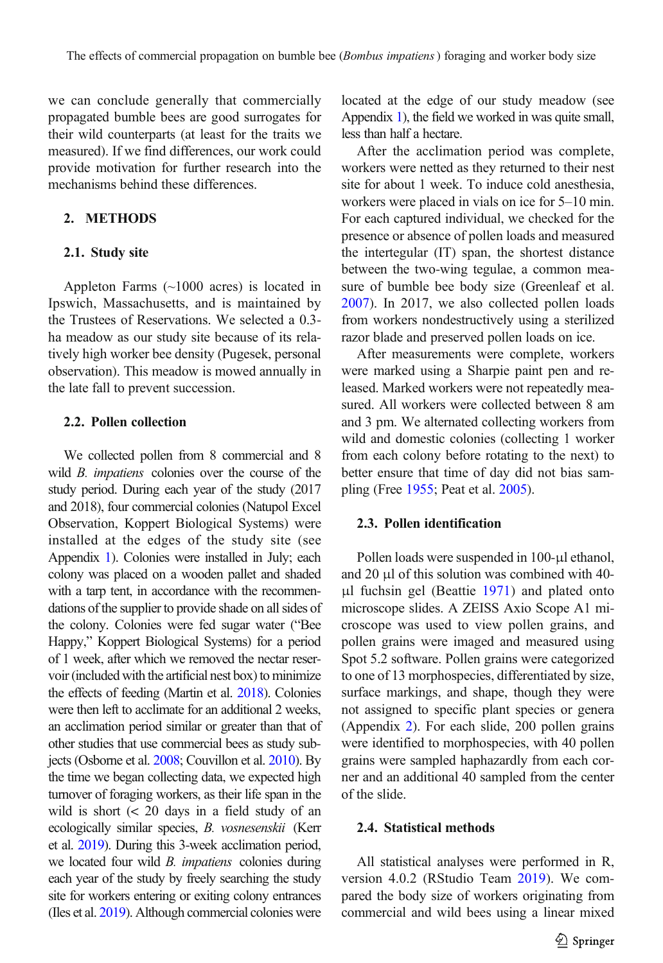we can conclude generally that commercially propagated bumble bees are good surrogates for their wild counterparts (at least for the traits we measured). If we find differences, our work could provide motivation for further research into the mechanisms behind these differences.

## 2. METHODS

#### 2.1. Study site

Appleton Farms (~1000 acres) is located in Ipswich, Massachusetts, and is maintained by the Trustees of Reservations. We selected a 0.3 ha meadow as our study site because of its relatively high worker bee density (Pugesek, personal observation). This meadow is mowed annually in the late fall to prevent succession.

## 2.2. Pollen collection

We collected pollen from 8 commercial and 8 wild *B. impatiens* colonies over the course of the study period. During each year of the study (2017 and 2018), four commercial colonies (Natupol Excel Observation, Koppert Biological Systems) were installed at the edges of the study site (see Appendix 1). Colonies were installed in July; each colony was placed on a wooden pallet and shaded with a tarp tent, in accordance with the recommendations of the supplier to provide shade on all sides of the colony. Colonies were fed sugar water ("Bee Happy," Koppert Biological Systems) for a period of 1 week, after which we removed the nectar reservoir (included with the artificial nest box) to minimize the effects of feeding (Martin et al. [2018\)](#page-10-0). Colonies were then left to acclimate for an additional 2 weeks, an acclimation period similar or greater than that of other studies that use commercial bees as study subjects (Osborne et al. [2008;](#page-10-0) Couvillon et al. [2010](#page-9-0)). By the time we began collecting data, we expected high turnover of foraging workers, as their life span in the wild is short (< 20 days in a field study of an ecologically similar species, B. vosnesenskii (Kerr et al. [2019](#page-10-0)). During this 3-week acclimation period, we located four wild *B. impatiens* colonies during each year of the study by freely searching the study site for workers entering or exiting colony entrances (Iles et al. [2019\)](#page-10-0). Although commercial colonies were located at the edge of our study meadow (see Appendix 1), the field we worked in was quite small, less than half a hectare.

After the acclimation period was complete, workers were netted as they returned to their nest site for about 1 week. To induce cold anesthesia, workers were placed in vials on ice for 5–10 min. For each captured individual, we checked for the presence or absence of pollen loads and measured the intertegular (IT) span, the shortest distance between the two-wing tegulae, a common measure of bumble bee body size (Greenleaf et al. [2007\)](#page-10-0). In 2017, we also collected pollen loads from workers nondestructively using a sterilized razor blade and preserved pollen loads on ice.

After measurements were complete, workers were marked using a Sharpie paint pen and released. Marked workers were not repeatedly measured. All workers were collected between 8 am and 3 pm. We alternated collecting workers from wild and domestic colonies (collecting 1 worker from each colony before rotating to the next) to better ensure that time of day did not bias sampling (Free [1955](#page-9-0); Peat et al. [2005\)](#page-10-0).

## 2.3. Pollen identification

Pollen loads were suspended in 100-μl ethanol, and 20 μl of this solution was combined with 40 μl fuchsin gel (Beattie [1971\)](#page-9-0) and plated onto microscope slides. A ZEISS Axio Scope A1 microscope was used to view pollen grains, and pollen grains were imaged and measured using Spot 5.2 software. Pollen grains were categorized to one of 13 morphospecies, differentiated by size, surface markings, and shape, though they were not assigned to specific plant species or genera (Appendix 2). For each slide, 200 pollen grains were identified to morphospecies, with 40 pollen grains were sampled haphazardly from each corner and an additional 40 sampled from the center of the slide.

### 2.4. Statistical methods

All statistical analyses were performed in R, version 4.0.2 (RStudio Team [2019](#page-11-0)). We compared the body size of workers originating from commercial and wild bees using a linear mixed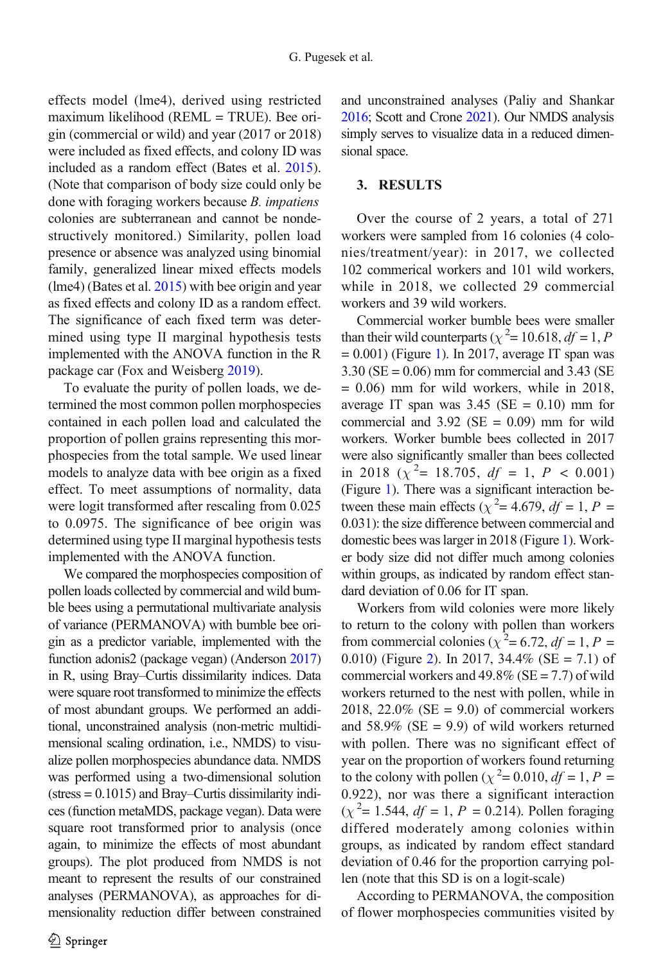effects model (lme4), derived using restricted maximum likelihood (REML = TRUE). Bee origin (commercial or wild) and year (2017 or 2018) were included as fixed effects, and colony ID was included as a random effect (Bates et al. [2015](#page-9-0)). (Note that comparison of body size could only be done with foraging workers because B. impatiens colonies are subterranean and cannot be nondestructively monitored.) Similarity, pollen load presence or absence was analyzed using binomial family, generalized linear mixed effects models  $(lme4)$  (Bates et al.  $2015$ ) with bee origin and year as fixed effects and colony ID as a random effect. The significance of each fixed term was determined using type II marginal hypothesis tests implemented with the ANOVA function in the R package car (Fox and Weisberg [2019](#page-9-0)).

To evaluate the purity of pollen loads, we determined the most common pollen morphospecies contained in each pollen load and calculated the proportion of pollen grains representing this morphospecies from the total sample. We used linear models to analyze data with bee origin as a fixed effect. To meet assumptions of normality, data were logit transformed after rescaling from 0.025 to 0.0975. The significance of bee origin was determined using type II marginal hypothesis tests implemented with the ANOVA function.

We compared the morphospecies composition of pollen loads collected by commercial and wild bumble bees using a permutational multivariate analysis of variance (PERMANOVA) with bumble bee origin as a predictor variable, implemented with the function adonis2 (package vegan) (Anderson [2017\)](#page-9-0) in R, using Bray–Curtis dissimilarity indices. Data were square root transformed to minimize the effects of most abundant groups. We performed an additional, unconstrained analysis (non-metric multidimensional scaling ordination, i.e., NMDS) to visualize pollen morphospecies abundance data. NMDS was performed using a two-dimensional solution (stress = 0.1015) and Bray–Curtis dissimilarity indices (function metaMDS, package vegan). Data were square root transformed prior to analysis (once again, to minimize the effects of most abundant groups). The plot produced from NMDS is not meant to represent the results of our constrained analyses (PERMANOVA), as approaches for dimensionality reduction differ between constrained and unconstrained analyses (Paliy and Shankar [2016;](#page-10-0) Scott and Crone [2021\)](#page-11-0). Our NMDS analysis simply serves to visualize data in a reduced dimensional space.

# 3. RESULTS

Over the course of 2 years, a total of 271 workers were sampled from 16 colonies (4 colonies/treatment/year): in 2017, we collected 102 commerical workers and 101 wild workers, while in 2018, we collected 29 commercial workers and 39 wild workers.

Commercial worker bumble bees were smaller than their wild counterparts ( $\chi^2$  = 10.618,  $df$  = 1, P  $= 0.001$ ) (Figure [1\)](#page-4-0). In 2017, average IT span was  $3.30$  (SE = 0.06) mm for commercial and  $3.43$  (SE  $= 0.06$ ) mm for wild workers, while in 2018, average IT span was  $3.45$  (SE = 0.10) mm for commercial and  $3.92$  (SE = 0.09) mm for wild workers. Worker bumble bees collected in 2017 were also significantly smaller than bees collected in 2018 ( $\chi^2$  = 18.705, df = 1, P < 0.001) (Figure [1\)](#page-4-0). There was a significant interaction between these main effects ( $\chi^2$  = 4.679,  $df$  = 1, P = 0.031): the size difference between commercial and domestic bees was larger in 2018 (Figure [1](#page-4-0)). Worker body size did not differ much among colonies within groups, as indicated by random effect standard deviation of 0.06 for IT span.

Workers from wild colonies were more likely to return to the colony with pollen than workers from commercial colonies ( $\chi^2$  = 6.72, df = 1, P = 0.010) (Figure [2](#page-5-0)). In 2017, 34.4% (SE = 7.1) of commercial workers and  $49.8\%$  (SE = 7.7) of wild workers returned to the nest with pollen, while in 2018, 22.0% ( $SE = 9.0$ ) of commercial workers and  $58.9\%$  (SE = 9.9) of wild workers returned with pollen. There was no significant effect of year on the proportion of workers found returning to the colony with pollen ( $\chi^2$  = 0.010, df = 1, P = 0.922), nor was there a significant interaction  $(\chi^2 = 1.544, df = 1, P = 0.214)$ . Pollen foraging differed moderately among colonies within groups, as indicated by random effect standard deviation of 0.46 for the proportion carrying pollen (note that this SD is on a logit-scale)

According to PERMANOVA, the composition of flower morphospecies communities visited by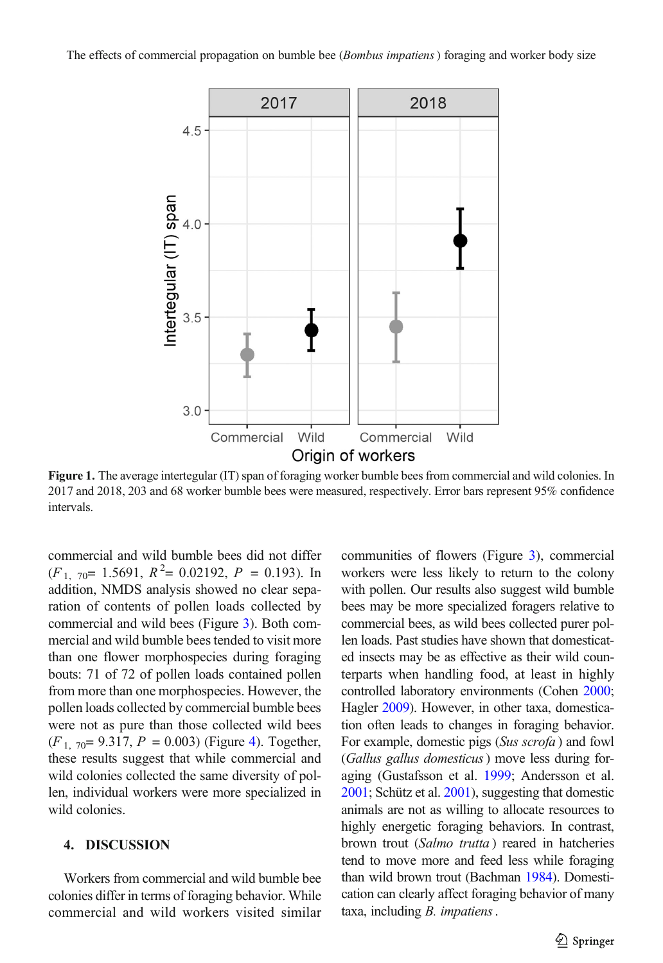<span id="page-4-0"></span>

Figure 1. The average intertegular (IT) span of foraging worker bumble bees from commercial and wild colonies. In 2017 and 2018, 203 and 68 worker bumble bees were measured, respectively. Error bars represent 95% confidence intervals.

commercial and wild bumble bees did not differ  $(F<sub>1</sub>, 70= 1.5691, R<sup>2</sup>= 0.02192, P = 0.193)$ . In addition, NMDS analysis showed no clear separation of contents of pollen loads collected by commercial and wild bees (Figure [3](#page-6-0)). Both commercial and wild bumble bees tended to visit more than one flower morphospecies during foraging bouts: 71 of 72 of pollen loads contained pollen from more than one morphospecies. However, the pollen loads collected by commercial bumble bees were not as pure than those collected wild bees  $(F<sub>1, 70</sub>= 9.317, P = 0.003)$  (Figure [4\)](#page-7-0). Together, these results suggest that while commercial and wild colonies collected the same diversity of pollen, individual workers were more specialized in wild colonies.

## 4. DISCUSSION

Workers from commercial and wild bumble bee colonies differ in terms of foraging behavior. While commercial and wild workers visited similar communities of flowers (Figure [3](#page-6-0)), commercial workers were less likely to return to the colony with pollen. Our results also suggest wild bumble bees may be more specialized foragers relative to commercial bees, as wild bees collected purer pollen loads. Past studies have shown that domesticated insects may be as effective as their wild counterparts when handling food, at least in highly controlled laboratory environments (Cohen [2000;](#page-9-0) Hagler [2009](#page-10-0)). However, in other taxa, domestication often leads to changes in foraging behavior. For example, domestic pigs (Sus scrofa ) and fowl (Gallus gallus domesticus) move less during foraging (Gustafsson et al. [1999;](#page-10-0) Andersson et al. [2001](#page-9-0); Schütz et al. [2001\)](#page-11-0), suggesting that domestic animals are not as willing to allocate resources to highly energetic foraging behaviors. In contrast, brown trout (Salmo trutta) reared in hatcheries tend to move more and feed less while foraging than wild brown trout (Bachman [1984\)](#page-9-0). Domestication can clearly affect foraging behavior of many taxa, including B. impatiens.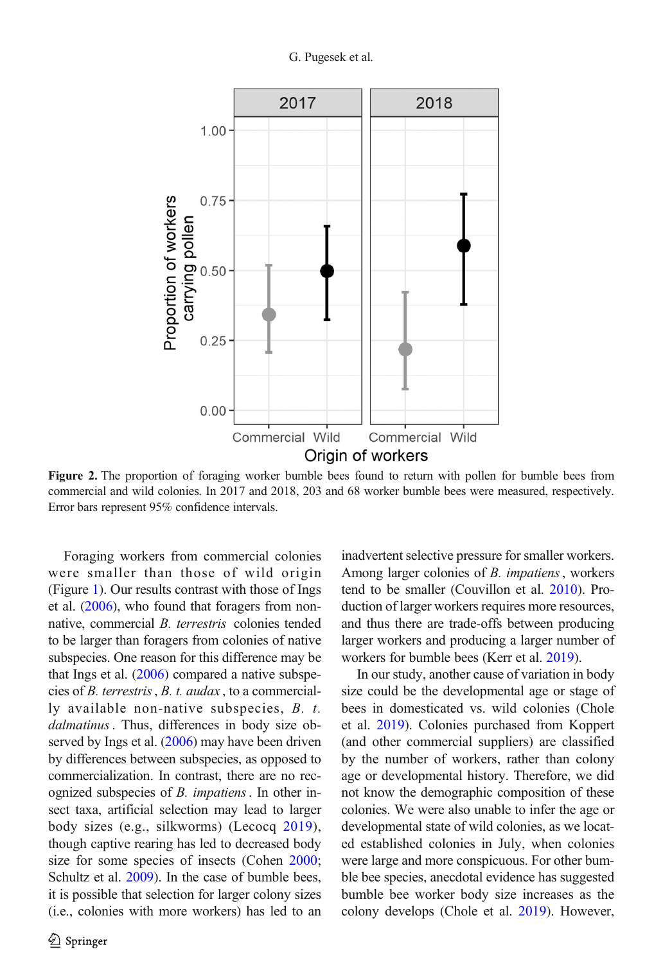<span id="page-5-0"></span>

Figure 2. The proportion of foraging worker bumble bees found to return with pollen for bumble bees from commercial and wild colonies. In 2017 and 2018, 203 and 68 worker bumble bees were measured, respectively. Error bars represent 95% confidence intervals.

Foraging workers from commercial colonies were smaller than those of wild origin (Figure [1\)](#page-4-0). Our results contrast with those of Ings et al. ([2006](#page-10-0)), who found that foragers from nonnative, commercial B. terrestris colonies tended to be larger than foragers from colonies of native subspecies. One reason for this difference may be that Ings et al. [\(2006\)](#page-10-0) compared a native subspecies of B. terrestris, B. t. audax , to a commercially available non-native subspecies, B. t. dalmatinus. Thus, differences in body size observed by Ings et al. ([2006](#page-10-0)) may have been driven by differences between subspecies, as opposed to commercialization. In contrast, there are no recognized subspecies of *B. impatiens*. In other insect taxa, artificial selection may lead to larger body sizes (e.g., silkworms) (Lecocq [2019\)](#page-10-0), though captive rearing has led to decreased body size for some species of insects (Cohen [2000](#page-9-0); Schultz et al. [2009\)](#page-11-0). In the case of bumble bees, it is possible that selection for larger colony sizes (i.e., colonies with more workers) has led to an

inadvertent selective pressure for smaller workers. Among larger colonies of B. impatiens, workers tend to be smaller (Couvillon et al. [2010\)](#page-9-0). Production of larger workers requires more resources, and thus there are trade-offs between producing larger workers and producing a larger number of workers for bumble bees (Kerr et al. [2019](#page-10-0)).

In our study, another cause of variation in body size could be the developmental age or stage of bees in domesticated vs. wild colonies (Chole et al. [2019\)](#page-9-0). Colonies purchased from Koppert (and other commercial suppliers) are classified by the number of workers, rather than colony age or developmental history. Therefore, we did not know the demographic composition of these colonies. We were also unable to infer the age or developmental state of wild colonies, as we located established colonies in July, when colonies were large and more conspicuous. For other bumble bee species, anecdotal evidence has suggested bumble bee worker body size increases as the colony develops (Chole et al. [2019\)](#page-9-0). However,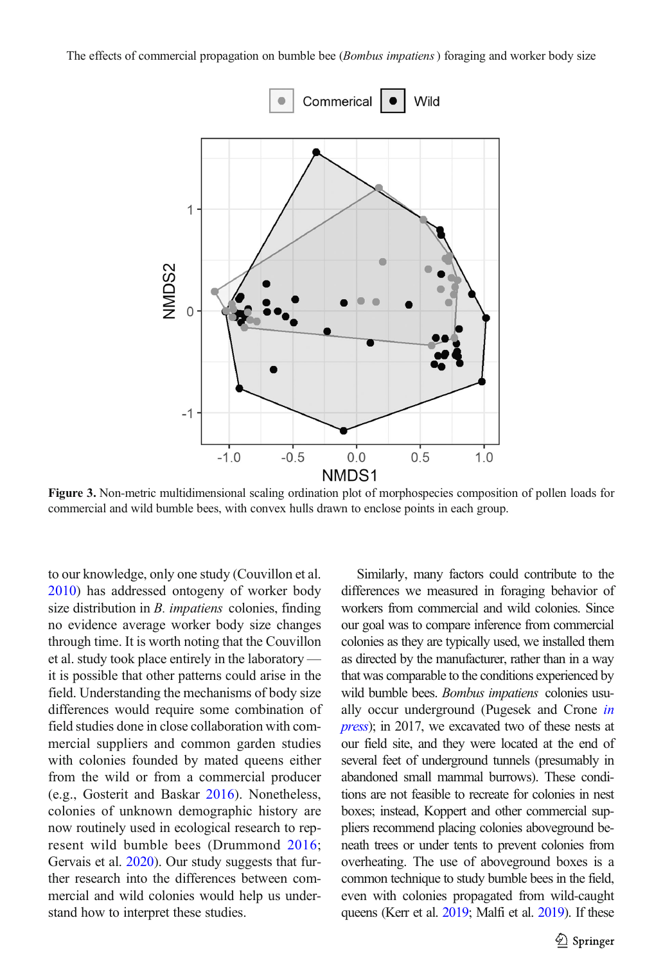<span id="page-6-0"></span>The effects of commercial propagation on bumble bee (*Bombus impatiens*) foraging and worker body size



Figure 3. Non-metric multidimensional scaling ordination plot of morphospecies composition of pollen loads for commercial and wild bumble bees, with convex hulls drawn to enclose points in each group.

to our knowledge, only one study (Couvillon et al. [2010\)](#page-9-0) has addressed ontogeny of worker body size distribution in *B. impatiens* colonies, finding no evidence average worker body size changes through time. It is worth noting that the Couvillon et al. study took place entirely in the laboratory it is possible that other patterns could arise in the field. Understanding the mechanisms of body size differences would require some combination of field studies done in close collaboration with commercial suppliers and common garden studies with colonies founded by mated queens either from the wild or from a commercial producer (e.g., Gosterit and Baskar [2016\)](#page-9-0). Nonetheless, colonies of unknown demographic history are now routinely used in ecological research to represent wild bumble bees (Drummond [2016](#page-9-0); Gervais et al. [2020\)](#page-9-0). Our study suggests that further research into the differences between commercial and wild colonies would help us understand how to interpret these studies.

Similarly, many factors could contribute to the differences we measured in foraging behavior of workers from commercial and wild colonies. Since our goal was to compare inference from commercial colonies as they are typically used, we installed them as directed by the manufacturer, rather than in a way that was comparable to the conditions experienced by wild bumble bees. Bombus impatiens colonies usually occur underground (Pugesek and Crone [in](#page-10-0) [press](#page-10-0)); in 2017, we excavated two of these nests at our field site, and they were located at the end of several feet of underground tunnels (presumably in abandoned small mammal burrows). These conditions are not feasible to recreate for colonies in nest boxes; instead, Koppert and other commercial suppliers recommend placing colonies aboveground beneath trees or under tents to prevent colonies from overheating. The use of aboveground boxes is a common technique to study bumble bees in the field, even with colonies propagated from wild-caught queens (Kerr et al. [2019;](#page-10-0) Malfi et al. [2019](#page-10-0)). If these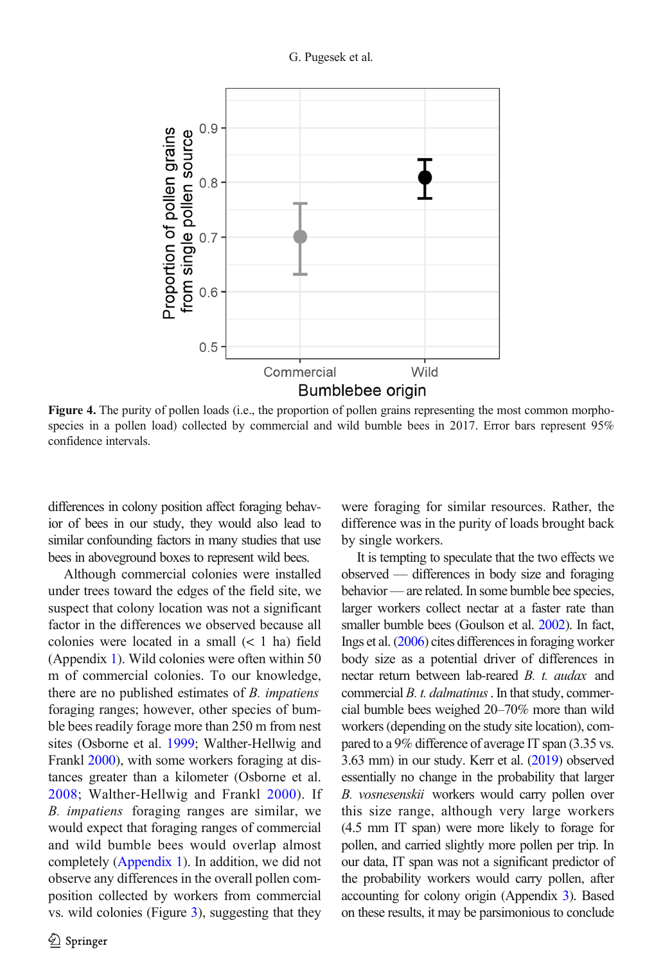<span id="page-7-0"></span>

Figure 4. The purity of pollen loads (i.e., the proportion of pollen grains representing the most common morphospecies in a pollen load) collected by commercial and wild bumble bees in 2017. Error bars represent 95% confidence intervals.

differences in colony position affect foraging behavior of bees in our study, they would also lead to similar confounding factors in many studies that use bees in aboveground boxes to represent wild bees.

Although commercial colonies were installed under trees toward the edges of the field site, we suspect that colony location was not a significant factor in the differences we observed because all colonies were located in a small (< 1 ha) field (Appendix 1). Wild colonies were often within 50 m of commercial colonies. To our knowledge, there are no published estimates of B. impatiens foraging ranges; however, other species of bumble bees readily forage more than 250 m from nest sites (Osborne et al. [1999](#page-10-0); Walther-Hellwig and Frankl [2000\)](#page-11-0), with some workers foraging at distances greater than a kilometer (Osborne et al. [2008;](#page-10-0) Walther-Hellwig and Frankl [2000](#page-11-0)). If B. impatiens foraging ranges are similar, we would expect that foraging ranges of commercial and wild bumble bees would overlap almost completely (Appendix 1). In addition, we did not observe any differences in the overall pollen composition collected by workers from commercial vs. wild colonies (Figure [3\)](#page-6-0), suggesting that they were foraging for similar resources. Rather, the difference was in the purity of loads brought back by single workers.

It is tempting to speculate that the two effects we observed — differences in body size and foraging behavior— are related. In some bumble bee species, larger workers collect nectar at a faster rate than smaller bumble bees (Goulson et al. [2002\)](#page-9-0). In fact, Ings et al. ([2006](#page-10-0)) cites differences in foraging worker body size as a potential driver of differences in nectar return between lab-reared B. t. audax and commercial B. t. dalmatinus. In that study, commercial bumble bees weighed 20–70% more than wild workers (depending on the study site location), compared to a 9% difference of average IT span (3.35 vs. 3.63 mm) in our study. Kerr et al. [\(2019](#page-10-0)) observed essentially no change in the probability that larger B. vosnesenskii workers would carry pollen over this size range, although very large workers (4.5 mm IT span) were more likely to forage for pollen, and carried slightly more pollen per trip. In our data, IT span was not a significant predictor of the probability workers would carry pollen, after accounting for colony origin (Appendix 3). Based on these results, it may be parsimonious to conclude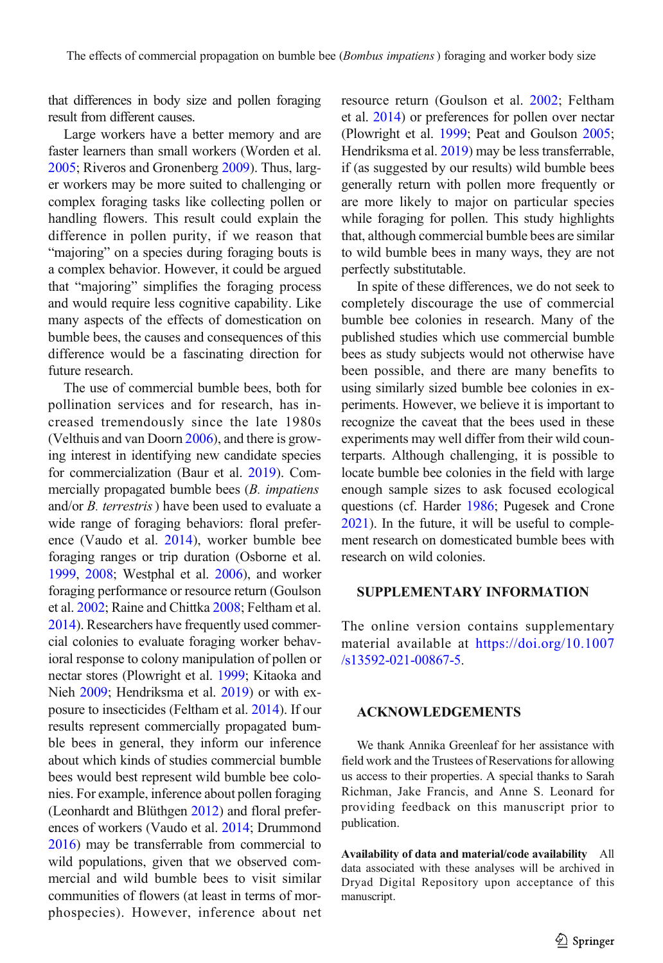that differences in body size and pollen foraging result from different causes.

Large workers have a better memory and are faster learners than small workers (Worden et al. [2005;](#page-11-0) Riveros and Gronenberg [2009](#page-11-0)). Thus, larger workers may be more suited to challenging or complex foraging tasks like collecting pollen or handling flowers. This result could explain the difference in pollen purity, if we reason that "majoring" on a species during foraging bouts is a complex behavior. However, it could be argued that "majoring" simplifies the foraging process and would require less cognitive capability. Like many aspects of the effects of domestication on bumble bees, the causes and consequences of this difference would be a fascinating direction for future research.

The use of commercial bumble bees, both for pollination services and for research, has increased tremendously since the late 1980s (Velthuis and van Doorn [2006](#page-11-0)), and there is growing interest in identifying new candidate species for commercialization (Baur et al. [2019\)](#page-9-0). Commercially propagated bumble bees (*B. impatiens*) and/or B. terrestris) have been used to evaluate a wide range of foraging behaviors: floral preference (Vaudo et al. [2014](#page-11-0)), worker bumble bee foraging ranges or trip duration (Osborne et al. [1999,](#page-10-0) [2008;](#page-10-0) Westphal et al. [2006](#page-11-0)), and worker foraging performance or resource return (Goulson et al. [2002;](#page-9-0) Raine and Chittka [2008;](#page-10-0) Feltham et al. [2014\)](#page-9-0). Researchers have frequently used commercial colonies to evaluate foraging worker behavioral response to colony manipulation of pollen or nectar stores (Plowright et al. [1999;](#page-10-0) Kitaoka and Nieh [2009;](#page-10-0) Hendriksma et al. [2019\)](#page-10-0) or with exposure to insecticides (Feltham et al. [2014](#page-9-0)). If our results represent commercially propagated bumble bees in general, they inform our inference about which kinds of studies commercial bumble bees would best represent wild bumble bee colonies. For example, inference about pollen foraging (Leonhardt and Blüthgen [2012\)](#page-10-0) and floral preferences of workers (Vaudo et al. [2014](#page-11-0); Drummond [2016\)](#page-9-0) may be transferrable from commercial to wild populations, given that we observed commercial and wild bumble bees to visit similar communities of flowers (at least in terms of morphospecies). However, inference about net resource return (Goulson et al. [2002](#page-9-0); Feltham et al. [2014](#page-9-0)) or preferences for pollen over nectar (Plowright et al. [1999;](#page-10-0) Peat and Goulson [2005;](#page-10-0) Hendriksma et al. [2019\)](#page-10-0) may be less transferrable, if (as suggested by our results) wild bumble bees generally return with pollen more frequently or are more likely to major on particular species while foraging for pollen. This study highlights that, although commercial bumble bees are similar to wild bumble bees in many ways, they are not perfectly substitutable.

In spite of these differences, we do not seek to completely discourage the use of commercial bumble bee colonies in research. Many of the published studies which use commercial bumble bees as study subjects would not otherwise have been possible, and there are many benefits to using similarly sized bumble bee colonies in experiments. However, we believe it is important to recognize the caveat that the bees used in these experiments may well differ from their wild counterparts. Although challenging, it is possible to locate bumble bee colonies in the field with large enough sample sizes to ask focused ecological questions (cf. Harder [1986;](#page-10-0) Pugesek and Crone [2021\)](#page-10-0). In the future, it will be useful to complement research on domesticated bumble bees with research on wild colonies.

### SUPPLEMENTARY INFORMATION

The online version contains supplementary material available at [https://doi.org/10.1007](http://dx.doi.org/10.1007/s13592-021-00867-5) [/s13592-021-00867-5](http://dx.doi.org/10.1007/s13592-021-00867-5).

### ACKNOWLEDGEMENTS

We thank Annika Greenleaf for her assistance with field work and the Trustees of Reservations for allowing us access to their properties. A special thanks to Sarah Richman, Jake Francis, and Anne S. Leonard for providing feedback on this manuscript prior to publication.

Availability of data and material/code availability All data associated with these analyses will be archived in Dryad Digital Repository upon acceptance of this manuscript.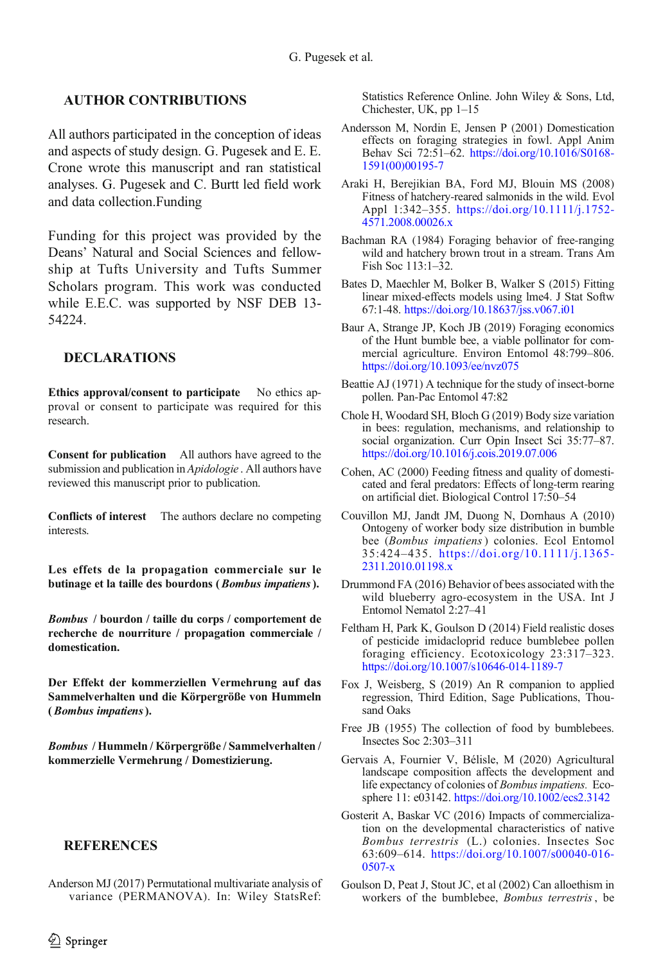# <span id="page-9-0"></span>AUTHOR CONTRIBUTIONS

All authors participated in the conception of ideas and aspects of study design. G. Pugesek and E. E. Crone wrote this manuscript and ran statistical analyses. G. Pugesek and C. Burtt led field work and data collection.Funding

Funding for this project was provided by the Deans' Natural and Social Sciences and fellowship at Tufts University and Tufts Summer Scholars program. This work was conducted while E.E.C. was supported by NSF DEB 13- 54224.

## DECLARATIONS

Ethics approval/consent to participate No ethics approval or consent to participate was required for this research.

Consent for publication All authors have agreed to the submission and publication in *Apidologie* . All authors have reviewed this manuscript prior to publication.

Conflicts of interest The authors declare no competing interests.

Les effets de la propagation commerciale sur le butinage et la taille des bourdons (Bombus impatiens).

Bombus / bourdon / taille du corps / comportement de recherche de nourriture / propagation commerciale / domestication.

Der Effekt der kommerziellen Vermehrung auf das Sammelverhalten und die Körpergröße von Hummeln (Bombus impatiens).

Bombus / Hummeln / Körpergröße / Sammelverhalten / kommerzielle Vermehrung / Domestizierung.

#### **REFERENCES**

Anderson MJ (2017) Permutational multivariate analysis of variance (PERMANOVA). In: Wiley StatsRef: Statistics Reference Online. John Wiley & Sons, Ltd, Chichester, UK, pp 1–15

- Andersson M, Nordin E, Jensen P (2001) Domestication effects on foraging strategies in fowl. Appl Anim Behav Sci 72:51–62. [https://doi.org/10.1016/S0168-](http://dx.doi.org/10.1016/S0168-1591(00)00195-7) [1591\(00\)00195-7](http://dx.doi.org/10.1016/S0168-1591(00)00195-7)
- Araki H, Berejikian BA, Ford MJ, Blouin MS (2008) Fitness of hatchery-reared salmonids in the wild. Evol Appl 1:342–355. [https://doi.org/10.1111/j.1752-](http://dx.doi.org/10.1111/j.1752-4571.2008.00026.x) [4571.2008.00026.x](http://dx.doi.org/10.1111/j.1752-4571.2008.00026.x)
- Bachman RA (1984) Foraging behavior of free-ranging wild and hatchery brown trout in a stream. Trans Am Fish Soc 113:1–32.
- Bates D, Maechler M, Bolker B, Walker S (2015) Fitting linear mixed-effects models using lme4. J Stat Softw 67:1-48. [https://doi.org/10.18637/jss.v067.i01](http://dx.doi.org/10.18637/jss.v067.i01)
- Baur A, Strange JP, Koch JB (2019) Foraging economics of the Hunt bumble bee, a viable pollinator for commercial agriculture. Environ Entomol 48:799–806. [https://doi.org/10.1093/ee/nvz075](http://dx.doi.org/10.1093/ee/nvz075)
- Beattie AJ (1971) A technique for the study of insect-borne pollen. Pan-Pac Entomol 47:82
- Chole H, Woodard SH, Bloch G (2019) Body size variation in bees: regulation, mechanisms, and relationship to social organization. Curr Opin Insect Sci 35:77–87. [https://doi.org/10.1016/j.cois.2019.07.006](http://dx.doi.org/10.1016/j.cois.2019.07.006)
- Cohen, AC (2000) Feeding fitness and quality of domesticated and feral predators: Effects of long-term rearing on artificial diet. Biological Control 17:50–54
- Couvillon MJ, Jandt JM, Duong N, Dornhaus A (2010) Ontogeny of worker body size distribution in bumble bee (Bombus impatiens) colonies. Ecol Entomol 35:424–435. [https://doi.org/10.1111/j.1365-](http://dx.doi.org/10.1111/j.1365-2311.2010.01198.x) [2311.2010.01198.x](http://dx.doi.org/10.1111/j.1365-2311.2010.01198.x)
- Drummond FA (2016) Behavior of bees associated with the wild blueberry agro-ecosystem in the USA. Int J Entomol Nematol 2:27–41
- Feltham H, Park K, Goulson D (2014) Field realistic doses of pesticide imidacloprid reduce bumblebee pollen foraging efficiency. Ecotoxicology 23:317–323. [https://doi.org/10.1007/s10646-014-1189-7](http://dx.doi.org/10.1007/s10646-014-1189-7)
- Fox J, Weisberg, S (2019) An R companion to applied regression, Third Edition, Sage Publications, Thousand Oaks
- Free JB (1955) The collection of food by bumblebees. Insectes Soc 2:303–311
- Gervais A, Fournier V, Bélisle, M (2020) Agricultural landscape composition affects the development and life expectancy of colonies of Bombus impatiens. Ecosphere 11: e03142. [https://doi.org/10.1002/ecs2.3142](http://dx.doi.org/10.1002/ecs2.3142)
- Gosterit A, Baskar VC (2016) Impacts of commercialization on the developmental characteristics of native Bombus terrestris (L.) colonies. Insectes Soc 63:609–614. [https://doi.org/10.1007/s00040-016-](http://dx.doi.org/10.1007/s00040-016-0507-x) [0507-x](http://dx.doi.org/10.1007/s00040-016-0507-x)
- Goulson D, Peat J, Stout JC, et al (2002) Can alloethism in workers of the bumblebee, Bombus terrestris, be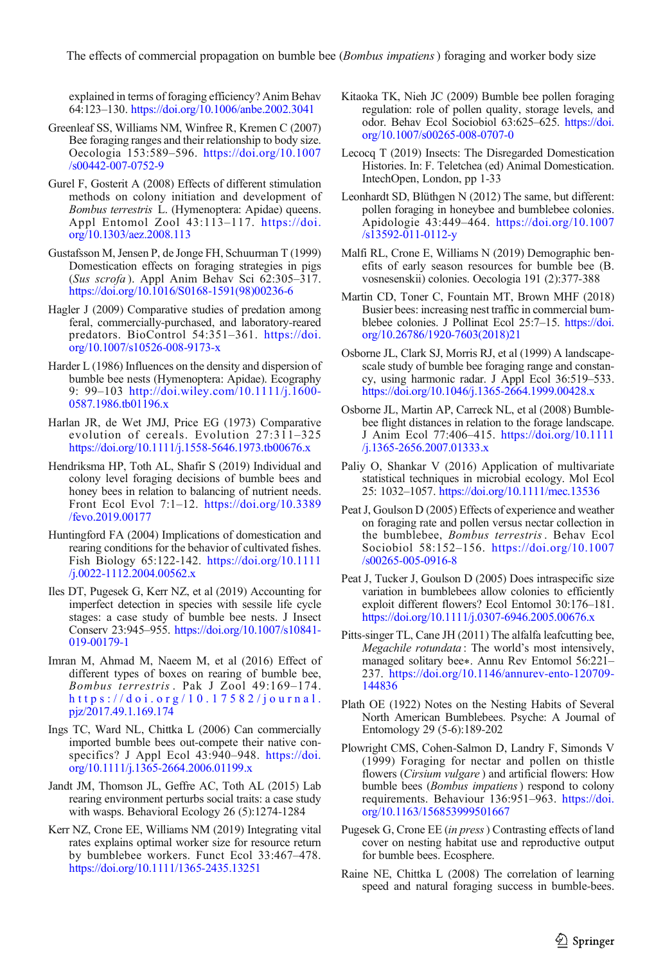<span id="page-10-0"></span>explained in terms of foraging efficiency? Anim Behav 64:123–130. [https://doi.org/10.1006/anbe.2002.3041](http://dx.doi.org/10.1006/anbe.2002.3041)

- Greenleaf SS, Williams NM, Winfree R, Kremen C (2007) Bee foraging ranges and their relationship to body size. Oecologia 153:589–596. [https://doi.org/10.1007](http://dx.doi.org/10.1007/s00442-007-0752-9) [/s00442-007-0752-9](http://dx.doi.org/10.1007/s00442-007-0752-9)
- Gurel F, Gosterit A (2008) Effects of different stimulation methods on colony initiation and development of Bombus terrestris L. (Hymenoptera: Apidae) queens. Appl Entomol Zool 43:113–117. [https://doi.](http://dx.doi.org/10.1303/aez.2008.113) [org/10.1303/aez.2008.113](http://dx.doi.org/10.1303/aez.2008.113)
- Gustafsson M, Jensen P, de Jonge FH, Schuurman T (1999) Domestication effects on foraging strategies in pigs (Sus scrofa ). Appl Anim Behav Sci 62:305–317. [https://doi.org/10.1016/S0168-1591\(98\)00236-6](http://dx.doi.org/10.1016/S0168-1591(98)00236-6)
- Hagler J (2009) Comparative studies of predation among feral, commercially-purchased, and laboratory-reared predators. BioControl 54:351–361. [https://doi.](http://dx.doi.org/10.1007/s10526-008-9173-x) [org/10.1007/s10526-008-9173-x](http://dx.doi.org/10.1007/s10526-008-9173-x)
- Harder L (1986) Influences on the density and dispersion of bumble bee nests (Hymenoptera: Apidae). Ecography 9: 99–103 [http://doi.wiley.com/10.1111/j.1600-](http://dx.doi.org/http://doi.wiley.com/10.1111/j.1600-0587.1986.tb01196.x) [0587.1986.tb01196.x](http://dx.doi.org/http://doi.wiley.com/10.1111/j.1600-0587.1986.tb01196.x)
- Harlan JR, de Wet JMJ, Price EG (1973) Comparative evolution of cereals. Evolution 27:311–325 [https://doi.org/10.1111/j.1558-5646.1973.tb00676.x](http://dx.doi.org/10.1111/j.1558-5646.1973.tb00676.x)
- Hendriksma HP, Toth AL, Shafir S (2019) Individual and colony level foraging decisions of bumble bees and honey bees in relation to balancing of nutrient needs. Front Ecol Evol 7:1–12. [https://doi.org/10.3389](http://dx.doi.org/10.3389/fevo.2019.00177) [/fevo.2019.00177](http://dx.doi.org/10.3389/fevo.2019.00177)
- Huntingford FA (2004) Implications of domestication and rearing conditions for the behavior of cultivated fishes. Fish Biology 65:122-142. [https://doi.org/10.1111](http://dx.doi.org/10.1111/j.0022-1112.2004.00562.x) [/j.0022-1112.2004.00562.x](http://dx.doi.org/10.1111/j.0022-1112.2004.00562.x)
- Iles DT, Pugesek G, Kerr NZ, et al (2019) Accounting for imperfect detection in species with sessile life cycle stages: a case study of bumble bee nests. J Insect Conserv 23:945–955. [https://doi.org/10.1007/s10841-](http://dx.doi.org/10.1007/s10841-019-00179-1) [019-00179-1](http://dx.doi.org/10.1007/s10841-019-00179-1)
- Imran M, Ahmad M, Naeem M, et al (2016) Effect of different types of boxes on rearing of bumble bee, Bombus terrestris . Pak J Zool 49:169–174. [https://doi.org/10.17582/journal.](http://dx.doi.org/10.17582/journal.pjz/2017.49.1.169.174) [pjz/2017.49.1.169.174](http://dx.doi.org/10.17582/journal.pjz/2017.49.1.169.174)
- Ings TC, Ward NL, Chittka L (2006) Can commercially imported bumble bees out-compete their native conspecifics? J Appl Ecol 43:940–948. [https://doi.](http://dx.doi.org/10.1111/j.1365-2664.2006.01199.x) [org/10.1111/j.1365-2664.2006.01199.x](http://dx.doi.org/10.1111/j.1365-2664.2006.01199.x)
- Jandt JM, Thomson JL, Geffre AC, Toth AL (2015) Lab rearing environment perturbs social traits: a case study with wasps. Behavioral Ecology 26 (5):1274-1284
- Kerr NZ, Crone EE, Williams NM (2019) Integrating vital rates explains optimal worker size for resource return by bumblebee workers. Funct Ecol 33:467–478. [https://doi.org/10.1111/1365-2435.13251](http://dx.doi.org/10.1111/1365-2435.13251)
- Kitaoka TK, Nieh JC (2009) Bumble bee pollen foraging regulation: role of pollen quality, storage levels, and odor. Behav Ecol Sociobiol 63:625–625. [https://doi.](http://dx.doi.org/10.1007/s00265-008-0707-0) [org/10.1007/s00265-008-0707-0](http://dx.doi.org/10.1007/s00265-008-0707-0)
- Lecocq T (2019) Insects: The Disregarded Domestication Histories. In: F. Teletchea (ed) Animal Domestication. IntechOpen, London, pp 1-33
- Leonhardt SD, Blüthgen N (2012) The same, but different: pollen foraging in honeybee and bumblebee colonies. Apidologie 43:449–464. [https://doi.org/10.1007](http://dx.doi.org/10.1007/s13592-011-0112-y) [/s13592-011-0112-y](http://dx.doi.org/10.1007/s13592-011-0112-y)
- Malfi RL, Crone E, Williams N (2019) Demographic benefits of early season resources for bumble bee (B. vosnesenskii) colonies. Oecologia 191 (2):377-388
- Martin CD, Toner C, Fountain MT, Brown MHF (2018) Busier bees: increasing nest traffic in commercial bumblebee colonies. J Pollinat Ecol 25:7-15. [https://doi.](http://dx.doi.org/10.26786/1920-7603(2018)21) [org/10.26786/1920-7603\(2018\)21](http://dx.doi.org/10.26786/1920-7603(2018)21)
- Osborne JL, Clark SJ, Morris RJ, et al (1999) A landscapescale study of bumble bee foraging range and constancy, using harmonic radar. J Appl Ecol 36:519–533. [https://doi.org/10.1046/j.1365-2664.1999.00428.x](http://dx.doi.org/10.1046/j.1365-2664.1999.00428.x)
- Osborne JL, Martin AP, Carreck NL, et al (2008) Bumblebee flight distances in relation to the forage landscape. J Anim Ecol 77:406–415. [https://doi.org/10.1111](http://dx.doi.org/10.1111/j.1365-2656.2007.01333.x) [/j.1365-2656.2007.01333.x](http://dx.doi.org/10.1111/j.1365-2656.2007.01333.x)
- Paliy O, Shankar V (2016) Application of multivariate statistical techniques in microbial ecology. Mol Ecol 25: 1032–1057. [https://doi.org/10.1111/mec.13536](http://dx.doi.org/10.1111/mec.13536)
- Peat J, Goulson D (2005) Effects of experience and weather on foraging rate and pollen versus nectar collection in the bumblebee, Bombus terrestris . Behav Ecol Sociobiol 58:152–156. [https://doi.org/10.1007](http://dx.doi.org/10.1007/s00265-005-0916-8) [/s00265-005-0916-8](http://dx.doi.org/10.1007/s00265-005-0916-8)
- Peat J, Tucker J, Goulson D (2005) Does intraspecific size variation in bumblebees allow colonies to efficiently exploit different flowers? Ecol Entomol 30:176–181. [https://doi.org/10.1111/j.0307-6946.2005.00676.x](http://dx.doi.org/10.1111/j.0307-6946.2005.00676.x)
- Pitts-singer TL, Cane JH (2011) The alfalfa leafcutting bee, Megachile rotundata : The world's most intensively, managed solitary bee∗. Annu Rev Entomol 56:221– 237. [https://doi.org/10.1146/annurev-ento-120709-](http://dx.doi.org/10.1146/annurev-ento-120709-144836) [144836](http://dx.doi.org/10.1146/annurev-ento-120709-144836)
- Plath OE (1922) Notes on the Nesting Habits of Several North American Bumblebees. Psyche: A Journal of Entomology 29 (5-6):189-202
- Plowright CMS, Cohen-Salmon D, Landry F, Simonds V (1999) Foraging for nectar and pollen on thistle flowers (Cirsium vulgare) and artificial flowers: How bumble bees (Bombus impatiens) respond to colony requirements. Behaviour 136:951–963. [https://doi.](http://dx.doi.org/10.1163/156853999501667) [org/10.1163/156853999501667](http://dx.doi.org/10.1163/156853999501667)
- Pugesek G, Crone EE (in press) Contrasting effects of land cover on nesting habitat use and reproductive output for bumble bees. Ecosphere.
- Raine NE, Chittka L (2008) The correlation of learning speed and natural foraging success in bumble-bees.